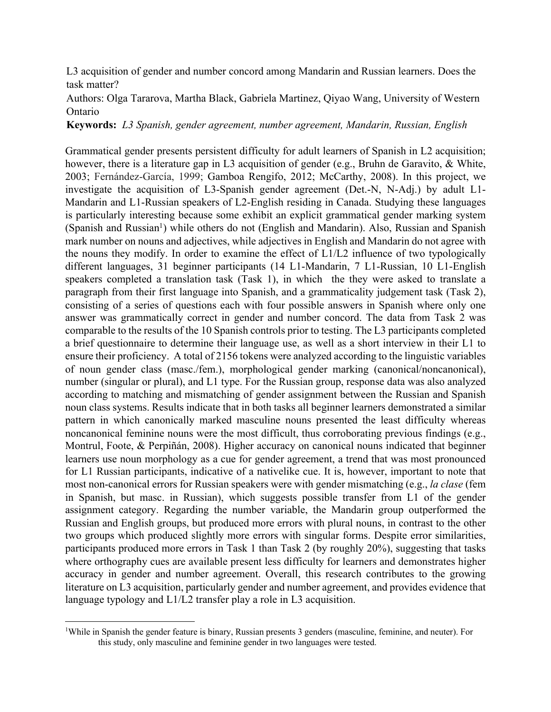L3 acquisition of gender and number concord among Mandarin and Russian learners. Does the task matter?

Authors: Olga Tararova, Martha Black, Gabriela Martinez, Qiyao Wang, University of Western Ontario

**Keywords:** *L3 Spanish, gender agreement, number agreement, Mandarin, Russian, English*

Grammatical gender presents persistent difficulty for adult learners of Spanish in L2 acquisition; however, there is a literature gap in L3 acquisition of gender (e.g., Bruhn de Garavito, & White, 2003; Fernández-García, 1999; Gamboa Rengifo, 2012; McCarthy, 2008). In this project, we investigate the acquisition of L3-Spanish gender agreement (Det.-N, N-Adj.) by adult L1- Mandarin and L1-Russian speakers of L2-English residing in Canada. Studying these languages is particularly interesting because some exhibit an explicit grammatical gender marking system  $(Spanish and Russian<sup>1</sup>)$  while others do not (English and Mandarin). Also, Russian and Spanish mark number on nouns and adjectives, while adjectives in English and Mandarin do not agree with the nouns they modify. In order to examine the effect of L1/L2 influence of two typologically different languages, 31 beginner participants (14 L1-Mandarin, 7 L1-Russian, 10 L1-English speakers completed a translation task (Task 1), in which the they were asked to translate a paragraph from their first language into Spanish, and a grammaticality judgement task (Task 2), consisting of a series of questions each with four possible answers in Spanish where only one answer was grammatically correct in gender and number concord. The data from Task 2 was comparable to the results of the 10 Spanish controls prior to testing. The L3 participants completed a brief questionnaire to determine their language use, as well as a short interview in their L1 to ensure their proficiency. A total of 2156 tokens were analyzed according to the linguistic variables of noun gender class (masc./fem.), morphological gender marking (canonical/noncanonical), number (singular or plural), and L1 type. For the Russian group, response data was also analyzed according to matching and mismatching of gender assignment between the Russian and Spanish noun class systems. Results indicate that in both tasks all beginner learners demonstrated a similar pattern in which canonically marked masculine nouns presented the least difficulty whereas noncanonical feminine nouns were the most difficult, thus corroborating previous findings (e.g., Montrul, Foote, & Perpiñán, 2008). Higher accuracy on canonical nouns indicated that beginner learners use noun morphology as a cue for gender agreement, a trend that was most pronounced for L1 Russian participants, indicative of a nativelike cue. It is, however, important to note that most non-canonical errors for Russian speakers were with gender mismatching (e.g., *la clase* (fem in Spanish, but masc. in Russian), which suggests possible transfer from L1 of the gender assignment category. Regarding the number variable, the Mandarin group outperformed the Russian and English groups, but produced more errors with plural nouns, in contrast to the other two groups which produced slightly more errors with singular forms. Despite error similarities, participants produced more errors in Task 1 than Task 2 (by roughly 20%), suggesting that tasks where orthography cues are available present less difficulty for learners and demonstrates higher accuracy in gender and number agreement. Overall, this research contributes to the growing literature on L3 acquisition, particularly gender and number agreement, and provides evidence that language typology and L1/L2 transfer play a role in L3 acquisition.

<sup>&</sup>lt;sup>1</sup>While in Spanish the gender feature is binary, Russian presents 3 genders (masculine, feminine, and neuter). For this study, only masculine and feminine gender in two languages were tested.